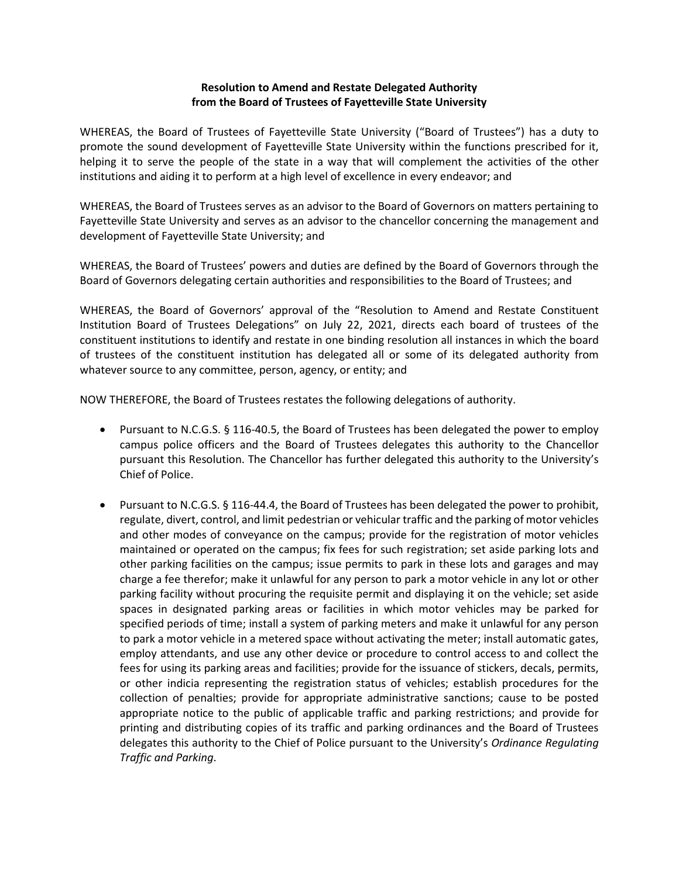#### **Resolution to Amend and Restate Delegated Authority from the Board of Trustees of Fayetteville State University**

WHEREAS, the Board of Trustees of Fayetteville State University ("Board of Trustees") has a duty to promote the sound development of Fayetteville State University within the functions prescribed for it, helping it to serve the people of the state in a way that will complement the activities of the other institutions and aiding it to perform at a high level of excellence in every endeavor; and

WHEREAS, the Board of Trustees serves as an advisor to the Board of Governors on matters pertaining to Fayetteville State University and serves as an advisor to the chancellor concerning the management and development of Fayetteville State University; and

WHEREAS, the Board of Trustees' powers and duties are defined by the Board of Governors through the Board of Governors delegating certain authorities and responsibilities to the Board of Trustees; and

WHEREAS, the Board of Governors' approval of the "Resolution to Amend and Restate Constituent Institution Board of Trustees Delegations" on July 22, 2021, directs each board of trustees of the constituent institutions to identify and restate in one binding resolution all instances in which the board of trustees of the constituent institution has delegated all or some of its delegated authority from whatever source to any committee, person, agency, or entity; and

NOW THEREFORE, the Board of Trustees restates the following delegations of authority.

- Pursuant to [N.C.G.S. § 116-40.5,](https://ncleg.gov/EnactedLegislation/Statutes/PDF/BySection/Chapter_116/GS_116-40.5.pdf) the Board of Trustees has been delegated the power to employ campus police officers and the Board of Trustees delegates this authority to the Chancellor pursuant this Resolution. The Chancellor has further delegated this authority to the University's Chief of Police.
- Pursuant t[o N.C.G.S. § 116-44.4,](https://ncleg.gov/EnactedLegislation/Statutes/PDF/BySection/Chapter_116/GS_116-40.5.pdf) the Board of Trustees has been delegated the power to prohibit, regulate, divert, control, and limit pedestrian or vehicular traffic and the parking of motor vehicles and other modes of conveyance on the campus; provide for the registration of motor vehicles maintained or operated on the campus; fix fees for such registration; set aside parking lots and other parking facilities on the campus; issue permits to park in these lots and garages and may charge a fee therefor; make it unlawful for any person to park a motor vehicle in any lot or other parking facility without procuring the requisite permit and displaying it on the vehicle; set aside spaces in designated parking areas or facilities in which motor vehicles may be parked for specified periods of time; install a system of parking meters and make it unlawful for any person to park a motor vehicle in a metered space without activating the meter; install automatic gates, employ attendants, and use any other device or procedure to control access to and collect the fees for using its parking areas and facilities; provide for the issuance of stickers, decals, permits, or other indicia representing the registration status of vehicles; establish procedures for the collection of penalties; provide for appropriate administrative sanctions; cause to be posted appropriate notice to the public of applicable traffic and parking restrictions; and provide for printing and distributing copies of its traffic and parking ordinances and the Board of Trustees delegates this authority to the Chief of Police pursuant to the University's *Ordinance Regulating Traffic and Parking*.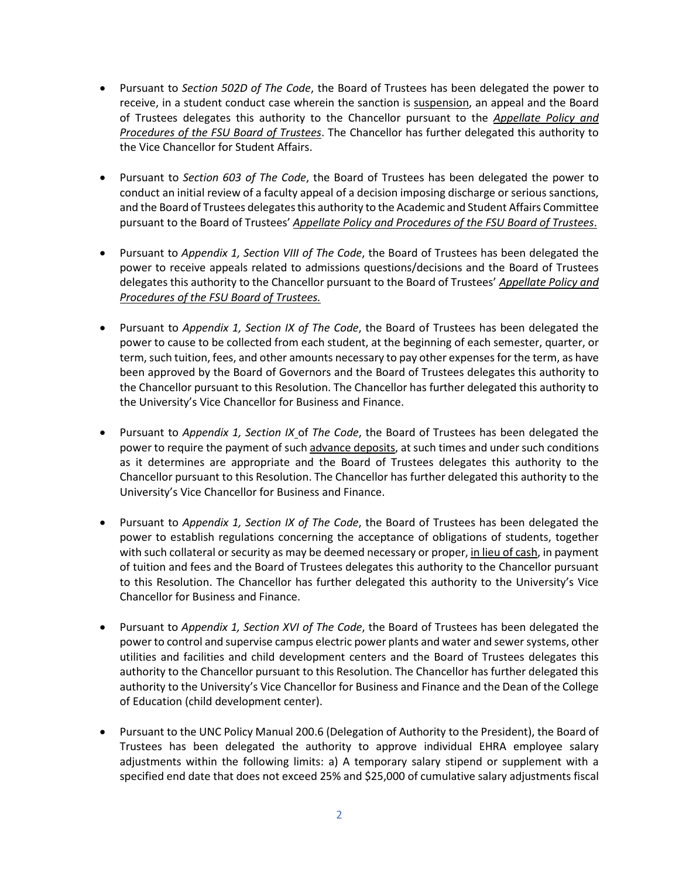- Pursuant to *Section 502D of The Code*, the Board of Trustees has been delegated the power to receive, in a student conduct case wherein the sanction is suspension, an appeal and the Board of Trustees delegates this authority to the Chancellor pursuant to the *[Appellate Policy and](https://www.uncfsu.edu/assets/Documents/Office%20of%20Legal%20Affairs/BoT%20Appellate%20Policy%20and%20Procedures%20%5bRev.%2009-2020%5d.pdf)  [Procedures of the FSU Board of Trustees](https://www.uncfsu.edu/assets/Documents/Office%20of%20Legal%20Affairs/BoT%20Appellate%20Policy%20and%20Procedures%20%5bRev.%2009-2020%5d.pdf)*. The Chancellor has further delegated this authority to the Vice Chancellor for Student Affairs.
- Pursuant to *Section 603 of The Code*, the Board of Trustees has been delegated the power to conduct an initial review of a faculty appeal of a decision imposing discharge or serious sanctions, and the Board of Trustees delegates this authority to the Academic and Student Affairs Committee pursuant to the Board of Trustees' *[Appellate Policy and Procedures of the FSU Board of Trustees](https://www.uncfsu.edu/assets/Documents/Office%20of%20Legal%20Affairs/BoT%20Appellate%20Policy%20and%20Procedures%20%5bRev.%2009-2020%5d.pdf)*.
- Pursuant to *Appendix 1, Section VIII of The Code*, the Board of Trustees has been delegated the power to receive appeals related to admissions questions/decisions and the Board of Trustees delegates this authority to the Chancellor pursuant to the Board of Trustees' *[Appellate Policy and](https://www.uncfsu.edu/assets/Documents/Office%20of%20Legal%20Affairs/BoT%20Appellate%20Policy%20and%20Procedures%20%5bRev.%2009-2020%5d.pdf)  [Procedures of the FSU Board of Trustees.](https://www.uncfsu.edu/assets/Documents/Office%20of%20Legal%20Affairs/BoT%20Appellate%20Policy%20and%20Procedures%20%5bRev.%2009-2020%5d.pdf)*
- Pursuant to *Appendix 1, Section IX of The Code*, the Board of Trustees has been delegated the power to cause to be collected from each student, at the beginning of each semester, quarter, or term, such tuition, fees, and other amounts necessary to pay other expenses for the term, as have been approved by the Board of Governors and the Board of Trustees delegates this authority to the Chancellor pursuant to this Resolution. The Chancellor has further delegated this authority to the University's Vice Chancellor for Business and Finance.
- Pursuant to *Appendix 1, Section IX* of *The Code*, the Board of Trustees has been delegated the power to require the payment of such advance deposits, at such times and under such conditions as it determines are appropriate and the Board of Trustees delegates this authority to the Chancellor pursuant to this Resolution. The Chancellor has further delegated this authority to the University's Vice Chancellor for Business and Finance.
- Pursuant to *Appendix 1, Section IX of The Code*, the Board of Trustees has been delegated the power to establish regulations concerning the acceptance of obligations of students, together with such collateral or security as may be deemed necessary or proper, in lieu of cash, in payment of tuition and fees and the Board of Trustees delegates this authority to the Chancellor pursuant to this Resolution. The Chancellor has further delegated this authority to the University's Vice Chancellor for Business and Finance.
- Pursuant to *Appendix 1, Section XVI of The Code*, the Board of Trustees has been delegated the power to control and supervise campus electric power plants and water and sewer systems, other utilities and facilities and child development centers and the Board of Trustees delegates this authority to the Chancellor pursuant to this Resolution. The Chancellor has further delegated this authority to the University's Vice Chancellor for Business and Finance and the Dean of the College of Education (child development center).
- Pursuant to the UNC Policy Manual 200.6 (Delegation of Authority to the President), the Board of Trustees has been delegated the authority to approve individual EHRA employee salary adjustments within the following limits: a) A temporary salary stipend or supplement with a specified end date that does not exceed 25% and \$25,000 of cumulative salary adjustments fiscal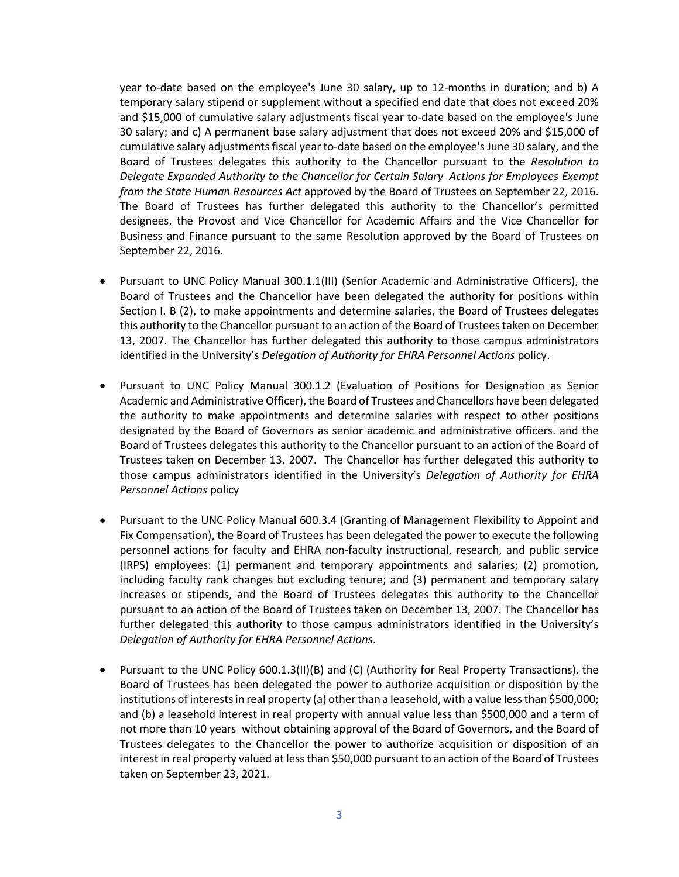year to-date based on the employee's June 30 salary, up to 12-months in duration; and b) A temporary salary stipend or supplement without a specified end date that does not exceed 20% and \$15,000 of cumulative salary adjustments fiscal year to-date based on the employee's June 30 salary; and c) A permanent base salary adjustment that does not exceed 20% and \$15,000 of cumulative salary adjustments fiscal year to-date based on the employee's June 30 salary, and the Board of Trustees delegates this authority to the Chancellor pursuant to the *Resolution to Delegate Expanded Authority to the Chancellor for Certain Salary Actions for Employees Exempt from the State Human Resources Act* approved by the Board of Trustees on September 22, 2016. The Board of Trustees has further delegated this authority to the Chancellor's permitted designees, the Provost and Vice Chancellor for Academic Affairs and the Vice Chancellor for Business and Finance pursuant to the same Resolution approved by the Board of Trustees on September 22, 2016.

- Pursuant to UNC Policy Manual 300.1.1(III) (Senior Academic and Administrative Officers), the Board of Trustees and the Chancellor have been delegated the authority for positions within Section I. B (2), to make appointments and determine salaries, the Board of Trustees delegates this authority to the Chancellor pursuant to an action of the Board of Trustees taken on December 13, 2007. The Chancellor has further delegated this authority to those campus administrators identified in the University's *Delegation of Authority for EHRA Personnel Actions* policy.
- Pursuant to UNC Policy Manual 300.1.2 (Evaluation of Positions for Designation as Senior Academic and Administrative Officer), the Board of Trustees and Chancellors have been delegated the authority to make appointments and determine salaries with respect to other positions designated by the Board of Governors as senior academic and administrative officers. and the Board of Trustees delegates this authority to the Chancellor pursuant to an action of the Board of Trustees taken on December 13, 2007. The Chancellor has further delegated this authority to those campus administrators identified in the University's *Delegation of Authority for EHRA Personnel Actions* policy
- Pursuant to the UNC Policy Manual 600.3.4 (Granting of Management Flexibility to Appoint and Fix Compensation), the Board of Trustees has been delegated the power to execute the following personnel actions for faculty and EHRA non-faculty instructional, research, and public service (IRPS) employees: (1) permanent and temporary appointments and salaries; (2) promotion, including faculty rank changes but excluding tenure; and (3) permanent and temporary salary increases or stipends, and the Board of Trustees delegates this authority to the Chancellor pursuant to an action of the Board of Trustees taken on December 13, 2007. The Chancellor has further delegated this authority to those campus administrators identified in the University's *Delegation of Authority for EHRA Personnel Actions*.
- Pursuant to the UNC Policy 600.1.3(II)(B) and (C) (Authority for Real Property Transactions), the Board of Trustees has been delegated the power to authorize acquisition or disposition by the institutions of interests in real property (a) other than a leasehold, with a value less than \$500,000; and (b) a leasehold interest in real property with annual value less than \$500,000 and a term of not more than 10 years without obtaining approval of the Board of Governors, and the Board of Trustees delegates to the Chancellor the power to authorize acquisition or disposition of an interest in real property valued at less than \$50,000 pursuant to an action of the Board of Trustees taken on September 23, 2021.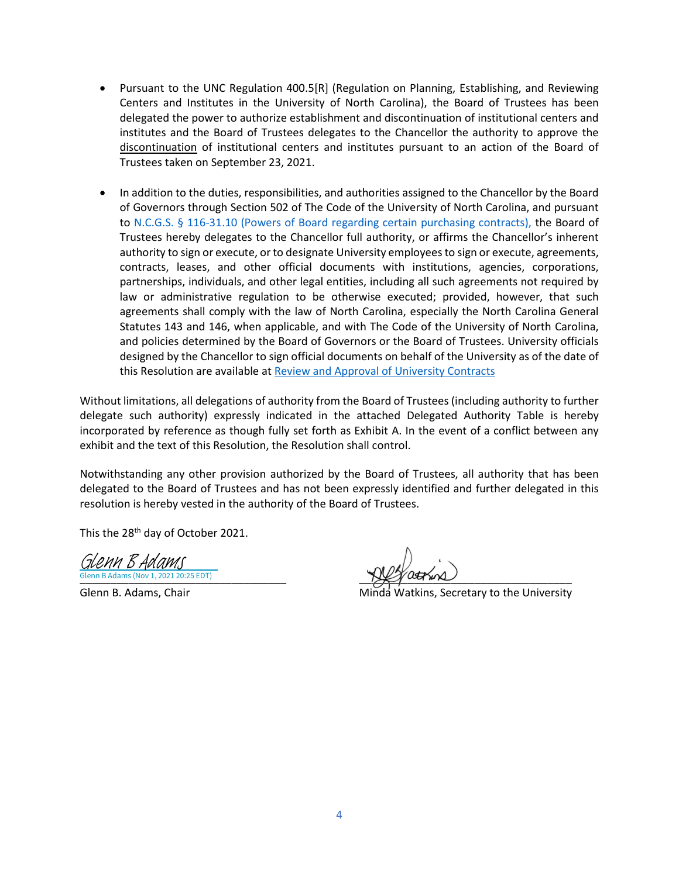- Pursuant to the UNC Regulation 400.5[R] (Regulation on Planning, Establishing, and Reviewing Centers and Institutes in the University of North Carolina), the Board of Trustees has been delegated the power to authorize establishment and discontinuation of institutional centers and institutes and the Board of Trustees delegates to the Chancellor the authority to approve the discontinuation of institutional centers and institutes pursuant to an action of the Board of Trustees taken on September 23, 2021.
- In addition to the duties, responsibilities, and authorities assigned to the Chancellor by the Board of Governors through Section 502 of The Code of the University of North Carolina, and pursuant to N.C.G.S. § 116-31.10 (Powers of Board regarding certain purchasing contracts), the Board of Trustees hereby delegates to the Chancellor full authority, or affirms the Chancellor's inherent authority to sign or execute, or to designate University employees to sign or execute, agreements, contracts, leases, and other official documents with institutions, agencies, corporations, partnerships, individuals, and other legal entities, including all such agreements not required by law or administrative regulation to be otherwise executed; provided, however, that such agreements shall comply with the law of North Carolina, especially the North Carolina General Statutes 143 and 146, when applicable, and with The Code of the University of North Carolina, and policies determined by the Board of Governors or the Board of Trustees. University officials designed by the Chancellor to sign official documents on behalf of the University as of the date of this Resolution are available a[t Review and Approval of University Contracts](https://www.uncfsu.edu/assets/Documents/Office%20of%20Legal%20Affairs/Review%20and%20Approval%20of%20University%20Contracts%20%5bRev.%2009-21%5d.pdf)

Without limitations, all delegations of authority from the Board of Trustees (including authority to further delegate such authority) expressly indicated in the attached Delegated Authority Table is hereby incorporated by reference as though fully set forth as Exhibit A. In the event of a conflict between any exhibit and the text of this Resolution, the Resolution shall control.

Notwithstanding any other provision authorized by the Board of Trustees, all authority that has been delegated to the Board of Trustees and has not been expressly identified and further delegated in this resolution is hereby vested in the authority of the Board of Trustees.

This the 28<sup>th</sup> day of October 2021.

Glenn B Adams (Nov 1, 2021 20:25 EDT) Glenn B Adams

Glenn B Adams (Nov 1, 2021 20:25 EDT)

Glenn B. Adams, Chair **Music and Accord Chair Minda** Watkins, Secretary to the University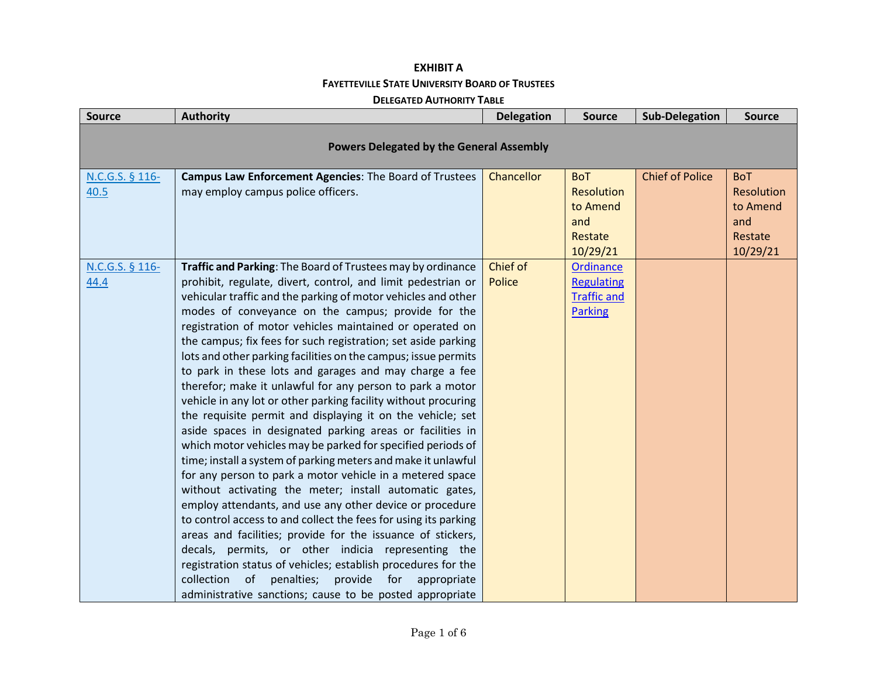### **EXHIBIT A FAYETTEVILLE STATE UNIVERSITY BOARD OF TRUSTEES**

#### **DELEGATED AUTHORITY TABLE**

| <b>Source</b>           | <b>Authority</b>                                                                                                                                                                                                                                                                                                                                                                                                                                                                                                                                                                                                                                                                                                                                                                                                                                                                                                                                                                                                                                                                                                                                                                                                                                                                                                                                                                                                                                                              | <b>Delegation</b>         | <b>Source</b>                                                                 | <b>Sub-Delegation</b>  | <b>Source</b>                                                             |  |  |
|-------------------------|-------------------------------------------------------------------------------------------------------------------------------------------------------------------------------------------------------------------------------------------------------------------------------------------------------------------------------------------------------------------------------------------------------------------------------------------------------------------------------------------------------------------------------------------------------------------------------------------------------------------------------------------------------------------------------------------------------------------------------------------------------------------------------------------------------------------------------------------------------------------------------------------------------------------------------------------------------------------------------------------------------------------------------------------------------------------------------------------------------------------------------------------------------------------------------------------------------------------------------------------------------------------------------------------------------------------------------------------------------------------------------------------------------------------------------------------------------------------------------|---------------------------|-------------------------------------------------------------------------------|------------------------|---------------------------------------------------------------------------|--|--|
|                         | <b>Powers Delegated by the General Assembly</b>                                                                                                                                                                                                                                                                                                                                                                                                                                                                                                                                                                                                                                                                                                                                                                                                                                                                                                                                                                                                                                                                                                                                                                                                                                                                                                                                                                                                                               |                           |                                                                               |                        |                                                                           |  |  |
|                         |                                                                                                                                                                                                                                                                                                                                                                                                                                                                                                                                                                                                                                                                                                                                                                                                                                                                                                                                                                                                                                                                                                                                                                                                                                                                                                                                                                                                                                                                               |                           |                                                                               |                        |                                                                           |  |  |
| N.C.G.S. § 116-<br>40.5 | Campus Law Enforcement Agencies: The Board of Trustees<br>may employ campus police officers.                                                                                                                                                                                                                                                                                                                                                                                                                                                                                                                                                                                                                                                                                                                                                                                                                                                                                                                                                                                                                                                                                                                                                                                                                                                                                                                                                                                  | Chancellor                | <b>BoT</b><br><b>Resolution</b><br>to Amend<br>and<br>Restate<br>10/29/21     | <b>Chief of Police</b> | <b>BoT</b><br><b>Resolution</b><br>to Amend<br>and<br>Restate<br>10/29/21 |  |  |
| N.C.G.S. § 116-<br>44.4 | Traffic and Parking: The Board of Trustees may by ordinance<br>prohibit, regulate, divert, control, and limit pedestrian or<br>vehicular traffic and the parking of motor vehicles and other<br>modes of conveyance on the campus; provide for the<br>registration of motor vehicles maintained or operated on<br>the campus; fix fees for such registration; set aside parking<br>lots and other parking facilities on the campus; issue permits<br>to park in these lots and garages and may charge a fee<br>therefor; make it unlawful for any person to park a motor<br>vehicle in any lot or other parking facility without procuring<br>the requisite permit and displaying it on the vehicle; set<br>aside spaces in designated parking areas or facilities in<br>which motor vehicles may be parked for specified periods of<br>time; install a system of parking meters and make it unlawful<br>for any person to park a motor vehicle in a metered space<br>without activating the meter; install automatic gates,<br>employ attendants, and use any other device or procedure<br>to control access to and collect the fees for using its parking<br>areas and facilities; provide for the issuance of stickers,<br>decals, permits, or other indicia representing the<br>registration status of vehicles; establish procedures for the<br>penalties;<br>provide for<br>collection<br>of<br>appropriate<br>administrative sanctions; cause to be posted appropriate | Chief of<br><b>Police</b> | <b>Ordinance</b><br><b>Regulating</b><br><b>Traffic and</b><br><b>Parking</b> |                        |                                                                           |  |  |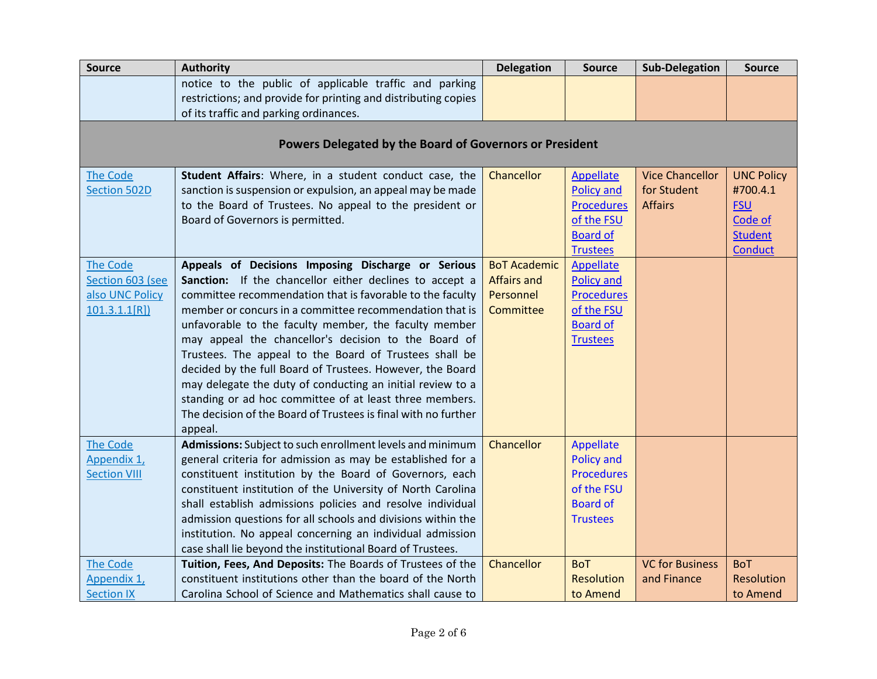| <b>Source</b>       | <b>Authority</b>                                                     | <b>Delegation</b>   | <b>Source</b>     | <b>Sub-Delegation</b>  | <b>Source</b>     |
|---------------------|----------------------------------------------------------------------|---------------------|-------------------|------------------------|-------------------|
|                     | notice to the public of applicable traffic and parking               |                     |                   |                        |                   |
|                     | restrictions; and provide for printing and distributing copies       |                     |                   |                        |                   |
|                     | of its traffic and parking ordinances.                               |                     |                   |                        |                   |
|                     |                                                                      |                     |                   |                        |                   |
|                     | Powers Delegated by the Board of Governors or President              |                     |                   |                        |                   |
| <b>The Code</b>     | Student Affairs: Where, in a student conduct case, the               | Chancellor          | Appellate         | <b>Vice Chancellor</b> | <b>UNC Policy</b> |
| <b>Section 502D</b> | sanction is suspension or expulsion, an appeal may be made           |                     | <b>Policy and</b> | for Student            | #700.4.1          |
|                     | to the Board of Trustees. No appeal to the president or              |                     | <b>Procedures</b> | <b>Affairs</b>         | <b>FSU</b>        |
|                     | Board of Governors is permitted.                                     |                     | of the FSU        |                        | Code of           |
|                     |                                                                      |                     | <b>Board of</b>   |                        | <b>Student</b>    |
|                     |                                                                      |                     | <b>Trustees</b>   |                        | <b>Conduct</b>    |
| <b>The Code</b>     | Appeals of Decisions Imposing Discharge or Serious                   | <b>BoT Academic</b> | <b>Appellate</b>  |                        |                   |
| Section 603 (see    | Sanction: If the chancellor either declines to accept a              | <b>Affairs and</b>  | <b>Policy and</b> |                        |                   |
| also UNC Policy     | committee recommendation that is favorable to the faculty            | Personnel           | <b>Procedures</b> |                        |                   |
| 101.3.1.1[R]        | member or concurs in a committee recommendation that is              | Committee           | of the FSU        |                        |                   |
|                     | unfavorable to the faculty member, the faculty member                |                     | <b>Board of</b>   |                        |                   |
|                     | may appeal the chancellor's decision to the Board of                 |                     | <b>Trustees</b>   |                        |                   |
|                     | Trustees. The appeal to the Board of Trustees shall be               |                     |                   |                        |                   |
|                     | decided by the full Board of Trustees. However, the Board            |                     |                   |                        |                   |
|                     | may delegate the duty of conducting an initial review to a           |                     |                   |                        |                   |
|                     | standing or ad hoc committee of at least three members.              |                     |                   |                        |                   |
|                     | The decision of the Board of Trustees is final with no further       |                     |                   |                        |                   |
| The Code            | appeal.<br>Admissions: Subject to such enrollment levels and minimum | Chancellor          | Appellate         |                        |                   |
| Appendix 1,         | general criteria for admission as may be established for a           |                     | <b>Policy and</b> |                        |                   |
| <b>Section VIII</b> | constituent institution by the Board of Governors, each              |                     | <b>Procedures</b> |                        |                   |
|                     | constituent institution of the University of North Carolina          |                     | of the FSU        |                        |                   |
|                     | shall establish admissions policies and resolve individual           |                     | <b>Board of</b>   |                        |                   |
|                     | admission questions for all schools and divisions within the         |                     | <b>Trustees</b>   |                        |                   |
|                     | institution. No appeal concerning an individual admission            |                     |                   |                        |                   |
|                     | case shall lie beyond the institutional Board of Trustees.           |                     |                   |                        |                   |
| <b>The Code</b>     | Tuition, Fees, And Deposits: The Boards of Trustees of the           | Chancellor          | <b>BoT</b>        | <b>VC for Business</b> | <b>BoT</b>        |
| Appendix 1,         | constituent institutions other than the board of the North           |                     | Resolution        | and Finance            | Resolution        |
| <b>Section IX</b>   | Carolina School of Science and Mathematics shall cause to            |                     | to Amend          |                        | to Amend          |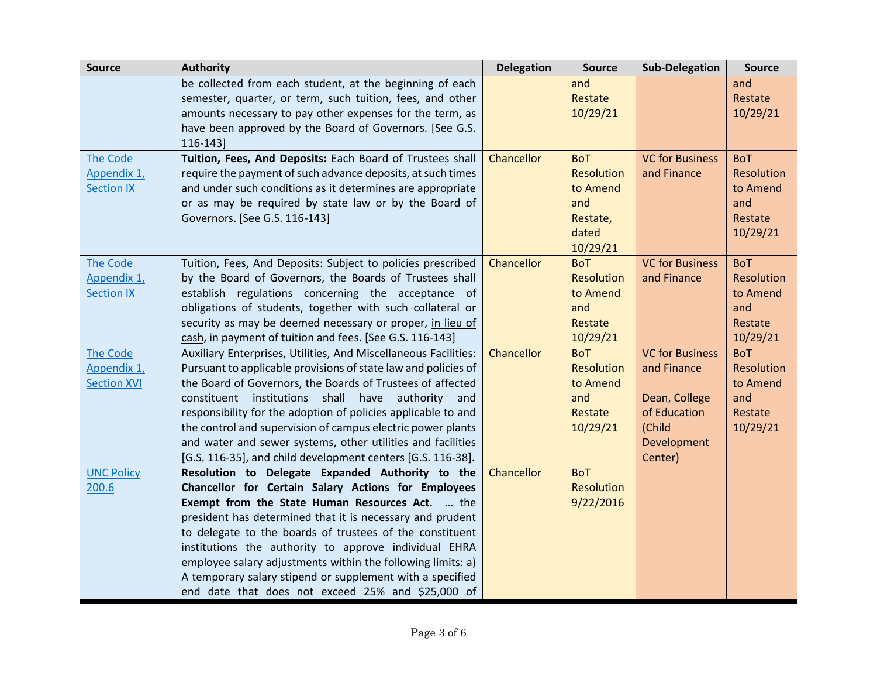| <b>Source</b>      | <b>Authority</b>                                                | <b>Delegation</b> | <b>Source</b> | <b>Sub-Delegation</b>  | <b>Source</b>     |
|--------------------|-----------------------------------------------------------------|-------------------|---------------|------------------------|-------------------|
|                    | be collected from each student, at the beginning of each        |                   | and           |                        | and               |
|                    | semester, quarter, or term, such tuition, fees, and other       |                   | Restate       |                        | Restate           |
|                    | amounts necessary to pay other expenses for the term, as        |                   | 10/29/21      |                        | 10/29/21          |
|                    | have been approved by the Board of Governors. [See G.S.         |                   |               |                        |                   |
|                    | 116-143]                                                        |                   |               |                        |                   |
| The Code           | Tuition, Fees, And Deposits: Each Board of Trustees shall       | Chancellor        | <b>BoT</b>    | <b>VC for Business</b> | <b>BoT</b>        |
| Appendix 1,        | require the payment of such advance deposits, at such times     |                   | Resolution    | and Finance            | Resolution        |
| <b>Section IX</b>  | and under such conditions as it determines are appropriate      |                   | to Amend      |                        | to Amend          |
|                    | or as may be required by state law or by the Board of           |                   | and           |                        | and               |
|                    | Governors. [See G.S. 116-143]                                   |                   | Restate,      |                        | Restate           |
|                    |                                                                 |                   | dated         |                        | 10/29/21          |
|                    |                                                                 |                   | 10/29/21      |                        |                   |
| <b>The Code</b>    | Tuition, Fees, And Deposits: Subject to policies prescribed     | Chancellor        | <b>BoT</b>    | <b>VC for Business</b> | <b>BoT</b>        |
| Appendix 1,        | by the Board of Governors, the Boards of Trustees shall         |                   | Resolution    | and Finance            | <b>Resolution</b> |
| <b>Section IX</b>  | establish regulations concerning the acceptance of              |                   | to Amend      |                        | to Amend          |
|                    | obligations of students, together with such collateral or       |                   | and           |                        | and               |
|                    | security as may be deemed necessary or proper, in lieu of       |                   | Restate       |                        | Restate           |
|                    | cash, in payment of tuition and fees. [See G.S. 116-143]        |                   | 10/29/21      |                        | 10/29/21          |
| The Code           | Auxiliary Enterprises, Utilities, And Miscellaneous Facilities: | Chancellor        | <b>BoT</b>    | <b>VC for Business</b> | <b>BoT</b>        |
| Appendix 1,        | Pursuant to applicable provisions of state law and policies of  |                   | Resolution    | and Finance            | Resolution        |
| <b>Section XVI</b> | the Board of Governors, the Boards of Trustees of affected      |                   | to Amend      |                        | to Amend          |
|                    | constituent institutions shall have authority and               |                   | and           | Dean, College          | and               |
|                    | responsibility for the adoption of policies applicable to and   |                   | Restate       | of Education           | Restate           |
|                    | the control and supervision of campus electric power plants     |                   | 10/29/21      | (Child                 | 10/29/21          |
|                    | and water and sewer systems, other utilities and facilities     |                   |               | Development            |                   |
|                    | [G.S. 116-35], and child development centers [G.S. 116-38].     |                   |               | Center)                |                   |
| <b>UNC Policy</b>  | Resolution to Delegate Expanded Authority to the                | Chancellor        | <b>BoT</b>    |                        |                   |
| 200.6              | Chancellor for Certain Salary Actions for Employees             |                   | Resolution    |                        |                   |
|                    | Exempt from the State Human Resources Act.  the                 |                   | 9/22/2016     |                        |                   |
|                    | president has determined that it is necessary and prudent       |                   |               |                        |                   |
|                    | to delegate to the boards of trustees of the constituent        |                   |               |                        |                   |
|                    | institutions the authority to approve individual EHRA           |                   |               |                        |                   |
|                    | employee salary adjustments within the following limits: a)     |                   |               |                        |                   |
|                    | A temporary salary stipend or supplement with a specified       |                   |               |                        |                   |
|                    | end date that does not exceed 25% and \$25,000 of               |                   |               |                        |                   |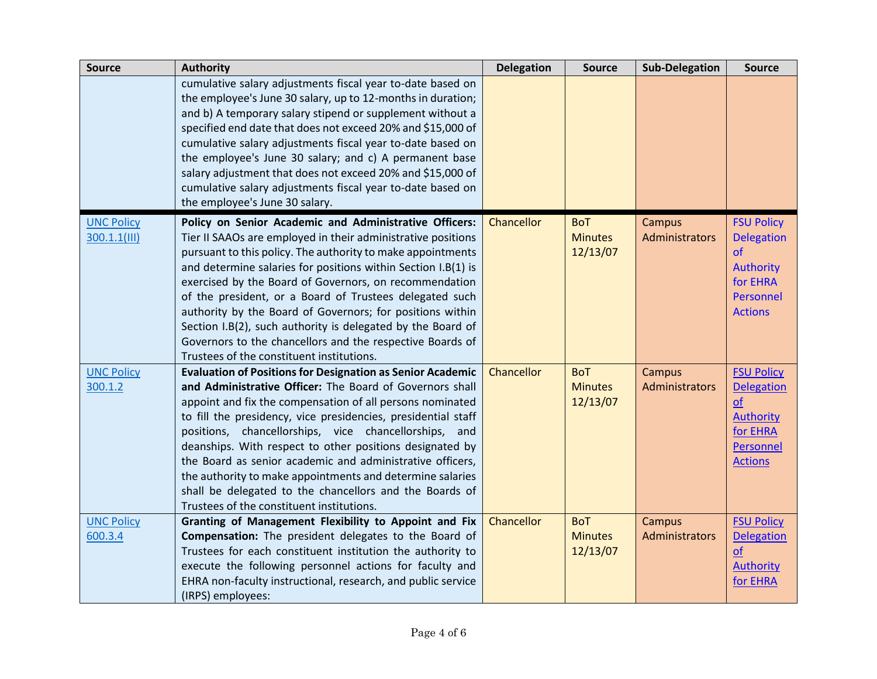| <b>Source</b>                     | <b>Authority</b>                                                                                                                                                                                                                                                                                                                                                                                                                                                                                                                                                                                                   | <b>Delegation</b> | <b>Source</b>                            | <b>Sub-Delegation</b>           | <b>Source</b>                                                                                               |
|-----------------------------------|--------------------------------------------------------------------------------------------------------------------------------------------------------------------------------------------------------------------------------------------------------------------------------------------------------------------------------------------------------------------------------------------------------------------------------------------------------------------------------------------------------------------------------------------------------------------------------------------------------------------|-------------------|------------------------------------------|---------------------------------|-------------------------------------------------------------------------------------------------------------|
|                                   | cumulative salary adjustments fiscal year to-date based on<br>the employee's June 30 salary, up to 12-months in duration;<br>and b) A temporary salary stipend or supplement without a<br>specified end date that does not exceed 20% and \$15,000 of<br>cumulative salary adjustments fiscal year to-date based on<br>the employee's June 30 salary; and c) A permanent base<br>salary adjustment that does not exceed 20% and \$15,000 of<br>cumulative salary adjustments fiscal year to-date based on<br>the employee's June 30 salary.                                                                        |                   |                                          |                                 |                                                                                                             |
| <b>UNC Policy</b><br>300.1.1(III) | Policy on Senior Academic and Administrative Officers:<br>Tier II SAAOs are employed in their administrative positions<br>pursuant to this policy. The authority to make appointments<br>and determine salaries for positions within Section I.B(1) is<br>exercised by the Board of Governors, on recommendation<br>of the president, or a Board of Trustees delegated such<br>authority by the Board of Governors; for positions within<br>Section I.B(2), such authority is delegated by the Board of<br>Governors to the chancellors and the respective Boards of<br>Trustees of the constituent institutions.  | Chancellor        | <b>BoT</b><br><b>Minutes</b><br>12/13/07 | Campus<br><b>Administrators</b> | <b>FSU Policy</b><br><b>Delegation</b><br>of<br><b>Authority</b><br>for EHRA<br>Personnel<br><b>Actions</b> |
| <b>UNC Policy</b><br>300.1.2      | <b>Evaluation of Positions for Designation as Senior Academic</b><br>and Administrative Officer: The Board of Governors shall<br>appoint and fix the compensation of all persons nominated<br>to fill the presidency, vice presidencies, presidential staff<br>positions, chancellorships, vice chancellorships, and<br>deanships. With respect to other positions designated by<br>the Board as senior academic and administrative officers,<br>the authority to make appointments and determine salaries<br>shall be delegated to the chancellors and the Boards of<br>Trustees of the constituent institutions. | Chancellor        | <b>BoT</b><br><b>Minutes</b><br>12/13/07 | Campus<br>Administrators        | <b>FSU Policy</b><br><b>Delegation</b><br>of<br><b>Authority</b><br>for EHRA<br>Personnel<br><b>Actions</b> |
| <b>UNC Policy</b><br>600.3.4      | Granting of Management Flexibility to Appoint and Fix<br>Compensation: The president delegates to the Board of<br>Trustees for each constituent institution the authority to<br>execute the following personnel actions for faculty and<br>EHRA non-faculty instructional, research, and public service<br>(IRPS) employees:                                                                                                                                                                                                                                                                                       | Chancellor        | <b>BoT</b><br><b>Minutes</b><br>12/13/07 | Campus<br>Administrators        | <b>FSU Policy</b><br><b>Delegation</b><br>of<br><b>Authority</b><br>for EHRA                                |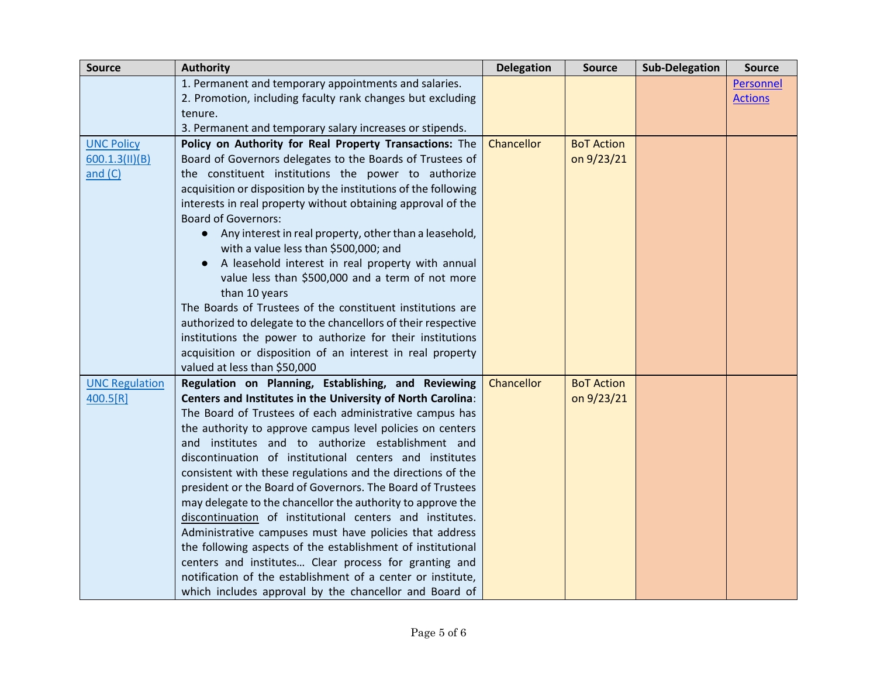| <b>Source</b>         | <b>Authority</b>                                                                                                     | <b>Delegation</b> | <b>Source</b>     | <b>Sub-Delegation</b> | <b>Source</b>  |
|-----------------------|----------------------------------------------------------------------------------------------------------------------|-------------------|-------------------|-----------------------|----------------|
|                       | 1. Permanent and temporary appointments and salaries.                                                                |                   |                   |                       | Personnel      |
|                       | 2. Promotion, including faculty rank changes but excluding                                                           |                   |                   |                       | <b>Actions</b> |
|                       | tenure.                                                                                                              |                   |                   |                       |                |
|                       | 3. Permanent and temporary salary increases or stipends.                                                             |                   |                   |                       |                |
| <b>UNC Policy</b>     | Policy on Authority for Real Property Transactions: The                                                              | Chancellor        | <b>BoT Action</b> |                       |                |
| 600.1.3(II)(B)        | Board of Governors delegates to the Boards of Trustees of                                                            |                   | on 9/23/21        |                       |                |
| and $(C)$             | the constituent institutions the power to authorize                                                                  |                   |                   |                       |                |
|                       | acquisition or disposition by the institutions of the following                                                      |                   |                   |                       |                |
|                       | interests in real property without obtaining approval of the<br><b>Board of Governors:</b>                           |                   |                   |                       |                |
|                       | Any interest in real property, other than a leasehold,                                                               |                   |                   |                       |                |
|                       | with a value less than \$500,000; and                                                                                |                   |                   |                       |                |
|                       | A leasehold interest in real property with annual                                                                    |                   |                   |                       |                |
|                       | value less than \$500,000 and a term of not more<br>than 10 years                                                    |                   |                   |                       |                |
|                       | The Boards of Trustees of the constituent institutions are                                                           |                   |                   |                       |                |
|                       | authorized to delegate to the chancellors of their respective                                                        |                   |                   |                       |                |
|                       | institutions the power to authorize for their institutions                                                           |                   |                   |                       |                |
|                       | acquisition or disposition of an interest in real property                                                           |                   |                   |                       |                |
|                       | valued at less than \$50,000                                                                                         |                   |                   |                       |                |
| <b>UNC Regulation</b> | Regulation on Planning, Establishing, and Reviewing                                                                  | Chancellor        | <b>BoT Action</b> |                       |                |
| 400.5[R]              | Centers and Institutes in the University of North Carolina:                                                          |                   | on 9/23/21        |                       |                |
|                       | The Board of Trustees of each administrative campus has                                                              |                   |                   |                       |                |
|                       | the authority to approve campus level policies on centers                                                            |                   |                   |                       |                |
|                       | and institutes and to authorize establishment and                                                                    |                   |                   |                       |                |
|                       | discontinuation of institutional centers and institutes                                                              |                   |                   |                       |                |
|                       | consistent with these regulations and the directions of the                                                          |                   |                   |                       |                |
|                       | president or the Board of Governors. The Board of Trustees                                                           |                   |                   |                       |                |
|                       | may delegate to the chancellor the authority to approve the                                                          |                   |                   |                       |                |
|                       | discontinuation of institutional centers and institutes.                                                             |                   |                   |                       |                |
|                       | Administrative campuses must have policies that address                                                              |                   |                   |                       |                |
|                       | the following aspects of the establishment of institutional<br>centers and institutes Clear process for granting and |                   |                   |                       |                |
|                       | notification of the establishment of a center or institute,                                                          |                   |                   |                       |                |
|                       | which includes approval by the chancellor and Board of                                                               |                   |                   |                       |                |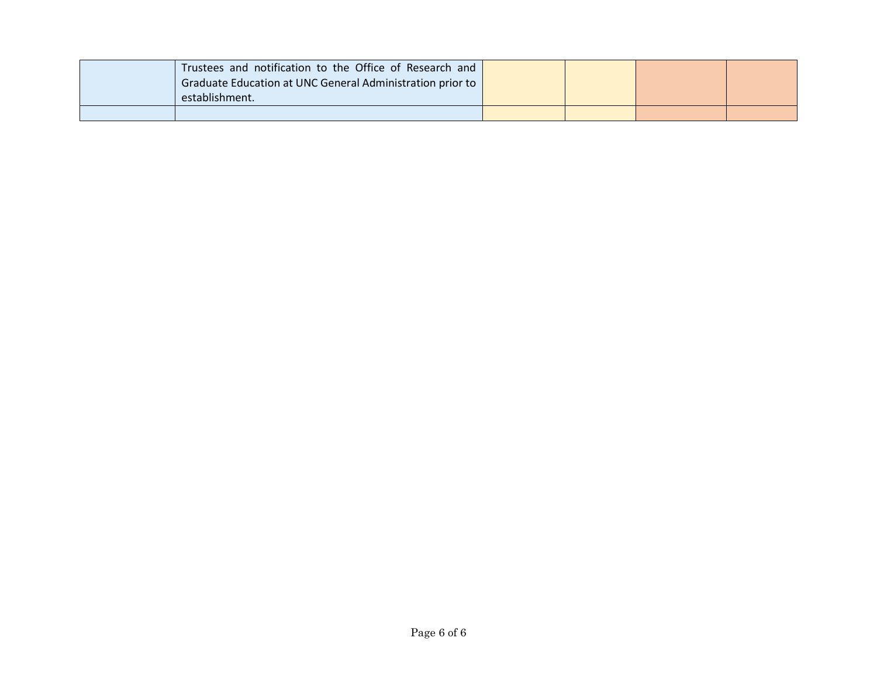|  | Trustees and notification to the Office of Research and<br>Graduate Education at UNC General Administration prior to<br>establishment. |  |  |
|--|----------------------------------------------------------------------------------------------------------------------------------------|--|--|
|  |                                                                                                                                        |  |  |